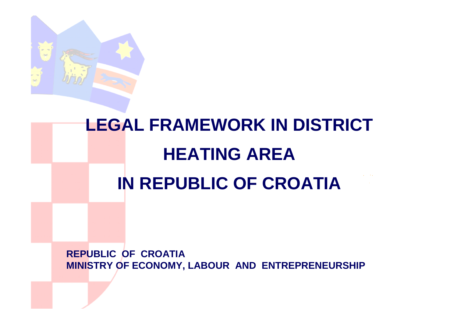

# **LEGAL FRAMEWORK IN DISTRICT HEATING AREAIN REPUBLIC OF CROATIA**

**REPUBLIC OF CROATIAMINISTRY OF ECONOMY, LABOUR AND ENTREPRENEURSHIP**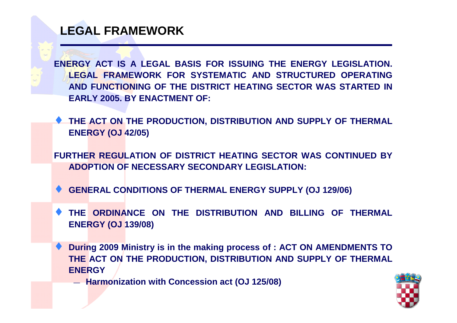### **LEGAL FRAMEWORK**

**ENERGY ACT IS A LEGAL BASIS FOR ISSUING THE ENERGY LEGISLATION.LEGAL FRAMEWORK FOR SYSTEMATIC AND STRUCTURED OPERATING AND FUNCTIONING OF THE DISTRICT HEATING SECTOR WAS STARTED IN EARLY 2005. BY ENACTMENT OF:**

♦ **THE ACT ON THE PRODUCTION, DISTRIBUTION AND SUPPLY OF THERMAL ENERGY (OJ 42/05)**

**FURTHER REGULATION OF DISTRICT HEATING SECTOR WAS CONTINUED BY ADOPTION OF NECESSARY SECONDARY LEGISLATION:**

- ♦ **GENERAL CONDITIONS OF THERMAL ENERGY SUPPLY (OJ 129/06)**
- ♦ **THE ORDINANCE ON THE DISTRIBUTION AND BILLING OF THERMAL ENERGY (OJ 139/08)**
- ♦ **During 2009 Ministry is in the making process of : ACT ON AMENDMENTS TO THE ACT ON THE PRODUCTION, DISTRIBUTION AND SUPPLY OF THERMAL ENERGY**
	- Har **Harmonization with Concession act (OJ 125/08)**

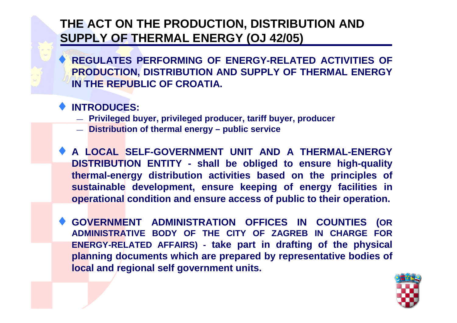#### **THE ACT ON THE PRODUCTION, DISTRIBUTION AND SUPPLY OF THERMAL ENERGY (OJ 42/05)**

♦ **REGULATES PERFORMING OF ENERGY-RELATED ACTIVITIES OF PRODUCTION, DISTRIBUTION AND SUPPLY OF THERMAL ENERGY IN THE REPUBLIC OF CROATIA.**

- ♦ **INTRODUCES:**
	- **Privileged buyer, privileged producer, tariff buyer, producer**
	- **Distribution of thermal energy – public service**
- ♦ **A LOCAL SELF-GOVERNMENT UNIT AND A THERMAL-ENERGY DISTRIBUTION ENTITY - shall be obliged to ensure high-quality thermal-energy distribution activities based on the principles of sustainable development, ensure keeping of energy facilities in operational condition and ensure access of public to their operation.**
- ♦ **GOVERNMENT ADMINISTRATION OFFICES IN COUNTIES (OR ADMINISTRATIVE BODY OF THE CITY OF ZAGREB IN CHARGE FOR ENERGY-RELATED AFFAIRS) - take part in drafting of the physical planning documents which are prepared by representative bodies of local and regional self government units.**

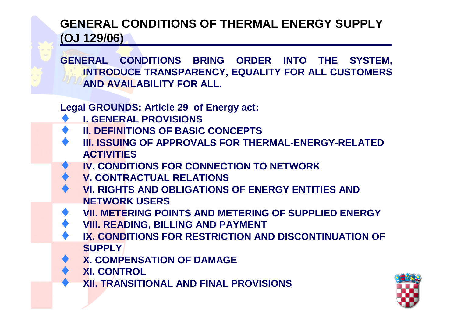#### **GENERAL CONDITIONS OF THERMAL ENERGY SUPPLY (OJ 129/06)**

**GENERAL CONDITIONS BRING ORDER INTO THE SYSTEM, INTRODUCE TRANSPARENCY, EQUALITY FOR ALL CUSTOMERSAND AVAILABILITY FOR ALL.**

**Legal GROUNDS: Article 29 of Energy act:**

- ♦**I. GENERAL PROVISIONS**
- ♦**II. DEFINITIONS OF BASIC CONCEPTS**
- ♦ **III. ISSUING OF APPROVALS FOR THERMAL-ENERGY-RELATED ACTIVITIES**
- ♦ **IV. CONDITIONS FOR CONNECTION TO NETWORK**
- ♦**V. CONTRACTUAL RELATIONS**
- ♦ **VI. RIGHTS AND OBLIGATIONS OF ENERGY ENTITIES AND NETWORK USERS**
- ♦ **VII. METERING POINTS AND METERING OF SUPPLIED ENERGY**
- ♦**VIII. READING, BILLING AND PAYMENT**
- ♦ **IX. CONDITIONS FOR RESTRICTION AND DISCONTINUATION OF SUPPLY**
- ♦ **X. COMPENSATION OF DAMAGE**
- ♦ **XI. CONTROL**
- ♦**XII. TRANSITIONAL AND FINAL PROVISIONS**

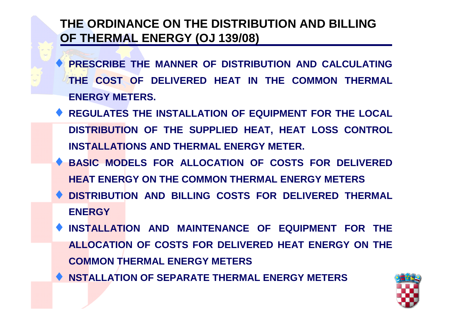#### **THE ORDINANCE ON THE DISTRIBUTION AND BILLING OF THERMAL ENERGY (OJ 139/08)**

♦ **PRESCRIBE THE MANNER OF DISTRIBUTION AND CALCULATING THE COST OF DELIVERED HEAT IN THE COMMON THERMAL ENERGY METERS.**

- ♦ **REGULATES THE INSTALLATION OF EQUIPMENT FOR THE LOCAL DISTRIBUTION OF THE SUPPLIED HEAT, HEAT LOSS CONTROL INSTALLATIONS AND THERMAL ENERGY METER.**
- ♦ **BASIC MODELS FOR ALLOCATION OF COSTS FOR DELIVERED HEAT ENERGY ON THE COMMON THERMAL ENERGY METERS**
- ♦ **DISTRIBUTION AND BILLING COSTS FOR DELIVERED THERMAL ENERGY**
- ♦ **INSTALLATION AND MAINTENANCE OF EQUIPMENT FOR THE ALLOCATION OF COSTS FOR DELIVERED HEAT ENERGY ON THE COMMON THERMAL ENERGY METERS**
- ♦ **NSTALLATION OF SEPARATE THERMAL ENERGY METERS**

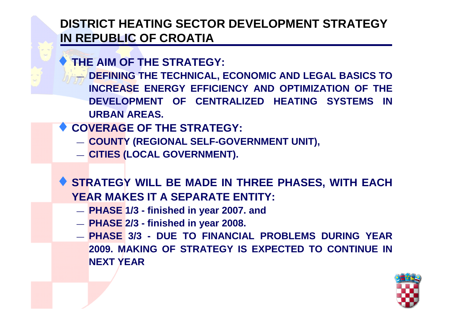#### **DISTRICT HEATING SECTOR DEVELOPMENT STRATEGY IN REPUBLIC OF CROATIA**

**THE AIM OF THE STRATEGY:**

♦

- **DEFINING THE TECHNICAL, ECONOMIC AND LEGAL BASICS TO INCREASE ENERGY EFFICIENCY AND OPTIMIZATION OF THE DEVELOPMENT OF CENTRALIZED HEATING SYSTEMS IN URBAN AREAS.**
- ♦ **COVERAGE OF THE STRATEGY:**
	- **COUNTY (REGIONAL SELF-GOVERNMENT UNIT),**
	- **CITIES (LOCAL GOVERNMENT).**
- ♦ **STRATEGY WILL BE MADE IN THREE PHASES, WITH EACH YEAR MAKES IT A SEPARATE ENTITY:**
	- **PHASE 1/3 - finished in year 2007. and**
	- **PHASE 2/3 - finished in year 2008.**
	- **PHASE 3/3 - DUE TO FINANCIAL PROBLEMS DURING YEAR 2009. MAKING OF STRATEGY IS EXPECTED TO CONTINUE INNEXT YEAR**

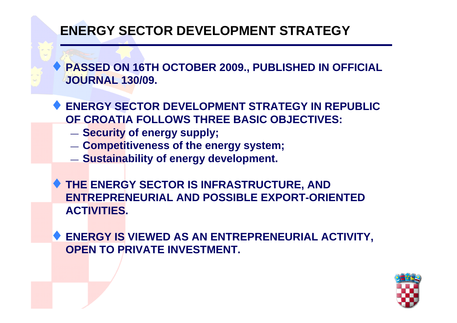## **ENERGY SECTOR DEVELOPMENT STRATEGY**

 **PASSED ON 16TH OCTOBER 2009., PUBLISHED IN OFFICIAL JOURNAL 130/09.**

- ♦ **ENERGY SECTOR DEVELOPMENT STRATEGY IN REPUBLIC OF CROATIA FOLLOWS THREE BASIC OBJECTIVES:** 
	- **Security of energy supply;**

♦

- **Competitiveness of the energy system;**
- **Sustainability of energy development.**
- ♦ **THE ENERGY SECTOR IS INFRASTRUCTURE, AND ENTREPRENEURIAL AND POSSIBLE EXPORT-ORIENTED ACTIVITIES.**
- ♦ **ENERGY IS VIEWED AS AN ENTREPRENEURIAL ACTIVITY, OPEN TO PRIVATE INVESTMENT.**

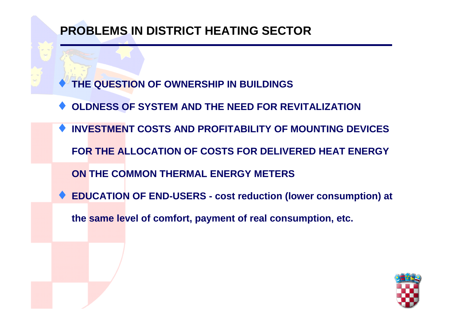#### **PROBLEMS IN DISTRICT HEATING SECTOR**

**THE QUESTION OF OWNERSHIP IN BUILDINGS** 

♦

- ♦**OLDNESS OF SYSTEM AND THE NEED FOR REVITALIZATION**
- ♦ **INVESTMENT COSTS AND PROFITABILITY OF MOUNTING DEVICES FOR THE ALLOCATION OF COSTS FOR DELIVERED HEAT ENERGY ON THE COMMON THERMAL ENERGY METERS**♦ **EDUCATION OF END-USERS - cost reduction (lower consumption) at**

**the same level of comfort, payment of real consumption, etc.**